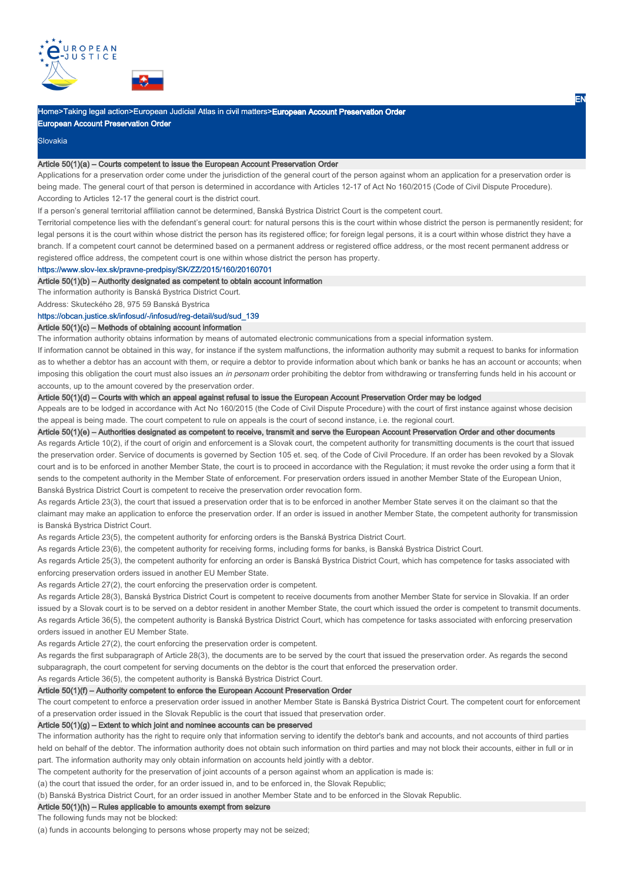



# Home>Taking legal action>European Judicial Atlas in civil matters>**European Account Preservation Order**

European Account Preservation Order

### **Slovakia**

#### Article 50(1)(a) – Courts competent to issue the European Account Preservation Order

Applications for a preservation order come under the jurisdiction of the general court of the person against whom an application for a preservation order is being made. The general court of that person is determined in accordance with Articles 12-17 of Act No 160/2015 (Code of Civil Dispute Procedure). According to Articles 12-17 the general court is the district court.

EN

If a person's general territorial affiliation cannot be determined, Banská Bystrica District Court is the competent court.

Territorial competence lies with the defendant's general court: for natural persons this is the court within whose district the person is permanently resident; for legal persons it is the court within whose district the person has its registered office; for foreign legal persons, it is a court within whose district they have a branch. If a competent court cannot be determined based on a permanent address or registered office address, or the most recent permanent address or registered office address, the competent court is one within whose district the person has property.

https://www.slov-lex.sk/pravne-predpisy/SK/ZZ/2015/160/20160701

## Article 50(1)(b) – Authority designated as competent to obtain account information

The information authority is Banská Bystrica District Court.

Address: Skuteckého 28, 975 59 Banská Bystrica

## https://obcan.justice.sk/infosud/-/infosud/reg-detail/sud/sud\_139

# Article 50(1)(c) – Methods of obtaining account information

The information authority obtains information by means of automated electronic communications from a special information system.

If information cannot be obtained in this way, for instance if the system malfunctions, the information authority may submit a request to banks for information as to whether a debtor has an account with them, or require a debtor to provide information about which bank or banks he has an account or accounts; when imposing this obligation the court must also issues an in personam order prohibiting the debtor from withdrawing or transferring funds held in his account or accounts, up to the amount covered by the preservation order.

## Article 50(1)(d) – Courts with which an appeal against refusal to issue the European Account Preservation Order may be lodged

Appeals are to be lodged in accordance with Act No 160/2015 (the Code of Civil Dispute Procedure) with the court of first instance against whose decision the appeal is being made. The court competent to rule on appeals is the court of second instance, i.e. the regional court.

Article 50(1)(e) – Authorities designated as competent to receive, transmit and serve the European Account Preservation Order and other documents

As regards Article 10(2), if the court of origin and enforcement is a Slovak court, the competent authority for transmitting documents is the court that issued the preservation order. Service of documents is governed by Section 105 et. seq. of the Code of Civil Procedure. If an order has been revoked by a Slovak court and is to be enforced in another Member State, the court is to proceed in accordance with the Regulation; it must revoke the order using a form that it sends to the competent authority in the Member State of enforcement. For preservation orders issued in another Member State of the European Union, Banská Bystrica District Court is competent to receive the preservation order revocation form.

As regards Article 23(3), the court that issued a preservation order that is to be enforced in another Member State serves it on the claimant so that the claimant may make an application to enforce the preservation order. If an order is issued in another Member State, the competent authority for transmission is Banská Bystrica District Court.

As regards Article 23(5), the competent authority for enforcing orders is the Banská Bystrica District Court.

As regards Article 23(6), the competent authority for receiving forms, including forms for banks, is Banská Bystrica District Court.

As regards Article 25(3), the competent authority for enforcing an order is Banská Bystrica District Court, which has competence for tasks associated with enforcing preservation orders issued in another EU Member State.

As regards Article 27(2), the court enforcing the preservation order is competent.

As regards Article 28(3), Banská Bystrica District Court is competent to receive documents from another Member State for service in Slovakia. If an order issued by a Slovak court is to be served on a debtor resident in another Member State, the court which issued the order is competent to transmit documents. As regards Article 36(5), the competent authority is Banská Bystrica District Court, which has competence for tasks associated with enforcing preservation orders issued in another EU Member State.

As regards Article 27(2), the court enforcing the preservation order is competent.

As regards the first subparagraph of Article 28(3), the documents are to be served by the court that issued the preservation order. As regards the second subparagraph, the court competent for serving documents on the debtor is the court that enforced the preservation order.

As regards Article 36(5), the competent authority is Banská Bystrica District Court.

# Article 50(1)(f) – Authority competent to enforce the European Account Preservation Order

The court competent to enforce a preservation order issued in another Member State is Banská Bystrica District Court. The competent court for enforcement of a preservation order issued in the Slovak Republic is the court that issued that preservation order.

### Article 50(1)(g) – Extent to which joint and nominee accounts can be preserved

The information authority has the right to require only that information serving to identify the debtor's bank and accounts, and not accounts of third parties held on behalf of the debtor. The information authority does not obtain such information on third parties and may not block their accounts, either in full or in part. The information authority may only obtain information on accounts held jointly with a debtor.

The competent authority for the preservation of joint accounts of a person against whom an application is made is:

(a) the court that issued the order, for an order issued in, and to be enforced in, the Slovak Republic;

(b) Banská Bystrica District Court, for an order issued in another Member State and to be enforced in the Slovak Republic.

### Article 50(1)(h) – Rules applicable to amounts exempt from seizure

The following funds may not be blocked:

(a) funds in accounts belonging to persons whose property may not be seized;